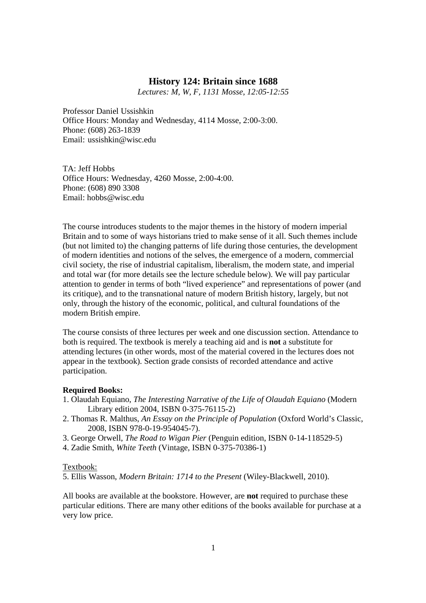### **History 124: Britain since 1688**

*Lectures: M, W, F, 1131 Mosse*, *12:05-12:55* 

Professor Daniel Ussishkin Office Hours: Monday and Wednesday, 4114 Mosse, 2:00-3:00. Phone: (608) 263-1839 Email: ussishkin@wisc.edu

TA: Jeff Hobbs Office Hours: Wednesday, 4260 Mosse, 2:00-4:00. Phone: (608) 890 3308 Email: hobbs@wisc.edu

The course introduces students to the major themes in the history of modern imperial Britain and to some of ways historians tried to make sense of it all. Such themes include (but not limited to) the changing patterns of life during those centuries, the development of modern identities and notions of the selves, the emergence of a modern, commercial civil society, the rise of industrial capitalism, liberalism, the modern state, and imperial and total war (for more details see the lecture schedule below). We will pay particular attention to gender in terms of both "lived experience" and representations of power (and its critique), and to the transnational nature of modern British history, largely, but not only, through the history of the economic, political, and cultural foundations of the modern British empire.

The course consists of three lectures per week and one discussion section. Attendance to both is required. The textbook is merely a teaching aid and is **not** a substitute for attending lectures (in other words, most of the material covered in the lectures does not appear in the textbook). Section grade consists of recorded attendance and active participation.

#### **Required Books:**

- 1. Olaudah Equiano, *The Interesting Narrative of the Life of Olaudah Equiano* (Modern Library edition 2004, ISBN 0-375-76115-2)
- 2. Thomas R. Malthus, *An Essay on the Principle of Population* (Oxford World's Classic, 2008, ISBN 978-0-19-954045-7).
- 3. George Orwell, *The Road to Wigan Pier* (Penguin edition, ISBN 0-14-118529-5)
- 4. Zadie Smith, *White Teeth* (Vintage, ISBN 0-375-70386-1)

#### Textbook:

5. Ellis Wasson, *Modern Britain: 1714 to the Present* (Wiley-Blackwell, 2010).

All books are available at the bookstore. However, are **not** required to purchase these particular editions. There are many other editions of the books available for purchase at a very low price.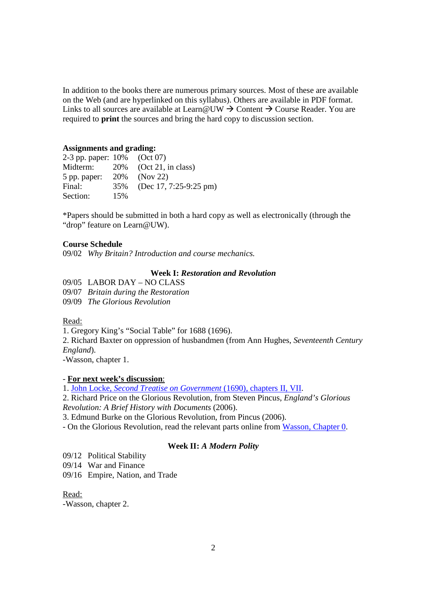In addition to the books there are numerous primary sources. Most of these are available on the Web (and are hyperlinked on this syllabus). Others are available in PDF format. Links to all sources are available at Learn  $@UW \rightarrow$  Content  $\rightarrow$  Course Reader. You are required to **print** the sources and bring the hard copy to discussion section.

#### **Assignments and grading:**

| 2-3 pp. paper: 10% (Oct 07) |     |                           |
|-----------------------------|-----|---------------------------|
| Midterm:                    |     | $20\%$ (Oct 21, in class) |
| 5 pp. paper:                |     | 20\% (Nov 22)             |
| Final:                      | 35% | (Dec 17, 7:25-9:25 pm)    |
| Section:                    | 15% |                           |

\*Papers should be submitted in both a hard copy as well as electronically (through the "drop" feature on Learn@UW).

### **Course Schedule**

09/02 *Why Britain? Introduction and course mechanics.* 

### **Week I:** *Restoration and Revolution*

09/05 LABOR DAY – NO CLASS

09/07 *Britain during the Restoration* 

09/09 *The Glorious Revolution*

#### Read:

1. Gregory King's "Social Table" for 1688 (1696).

2. Richard Baxter on oppression of husbandmen (from Ann Hughes, *Seventeenth Century England*).

-Wasson, chapter 1.

## - **For next week's discussion**:

1. John Locke, *Second Treatise on Government* (1690), chapters II, VII.

2. Richard Price on the Glorious Revolution, from Steven Pincus, *England's Glorious Revolution: A Brief History with Documents* (2006).

3. Edmund Burke on the Glorious Revolution, from Pincus (2006).

- On the Glorious Revolution, read the relevant parts online from Wasson, Chapter 0.

#### **Week II:** *A Modern Polity*

09/12 Political Stability

09/14 War and Finance

09/16 Empire, Nation, and Trade

Read:

-Wasson, chapter 2.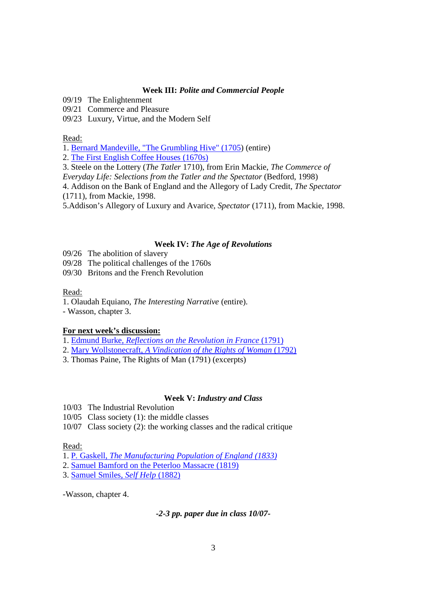### **Week III:** *Polite and Commercial People*

09/19 The Enlightenment

09/21 Commerce and Pleasure

09/23 Luxury, Virtue, and the Modern Self

#### Read:

1. Bernard Mandeville, "The Grumbling Hive" (1705) (entire)

2. The First English Coffee Houses (1670s)

3. Steele on the Lottery (*The Tatler* 1710), from Erin Mackie, *The Commerce of* 

*Everyday Life: Selections from the Tatler and the Spectator (Bedford, 1998)* 

4. Addison on the Bank of England and the Allegory of Lady Credit, *The Spectator* (1711), from Mackie, 1998.

5.Addison's Allegory of Luxury and Avarice, *Spectator* (1711), from Mackie, 1998.

### **Week IV:** *The Age of Revolutions*

- 09/26 The abolition of slavery
- 09/28 The political challenges of the 1760s
- 09/30 Britons and the French Revolution

#### Read:

- 1. Olaudah Equiano, *The Interesting Narrative* (entire).
- Wasson, chapter 3.

#### **For next week's discussion:**

- 1. Edmund Burke, *Reflections on the Revolution in France* (1791)
- 2. Mary Wollstonecraft, *A Vindication of the Rights of Woman* (1792)
- 3. Thomas Paine, The Rights of Man (1791) (excerpts)

#### **Week V:** *Industry and Class*

- 10/03 The Industrial Revolution
- 10/05 Class society (1): the middle classes
- 10/07 Class society (2): the working classes and the radical critique

#### Read:

- 1. P*.* Gaskell*, The Manufacturing Population of England (1833)*
- 2. Samuel Bamford on the Peterloo Massacre (1819)

3. Samuel Smiles, *Self Help* (1882)

-Wasson, chapter 4.

*-2-3 pp. paper due in class 10/07-*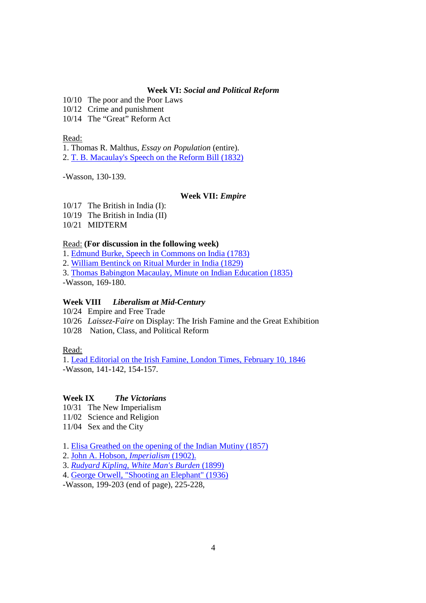## **Week VI:** *Social and Political Reform*

10/10 The poor and the Poor Laws

10/12 Crime and punishment

10/14 The "Great" Reform Act

Read:

1. Thomas R. Malthus, *Essay on Population* (entire). 2. T. B. Macaulay's Speech on the Reform Bill (1832)

-Wasson, 130-139.

## **Week VII:** *Empire*

10/17 The British in India (I): 10/19 The British in India (II)

10/21 MIDTERM

## Read: **(For discussion in the following week)**

1. Edmund Burke, Speech in Commons on India (1783)

2. William Bentinck on Ritual Murder in India (1829)

3. Thomas Babington Macaulay, Minute on Indian Education (1835)

-Wasson, 169-180.

# **Week VIII** *Liberalism at Mid-Century*

10/24 Empire and Free Trade

10/26 *Laissez-Faire* on Display: The Irish Famine and the Great Exhibition

10/28 Nation, Class, and Political Reform

# Read:

1. Lead Editorial on the Irish Famine, London Times, February 10, 1846 -Wasson, 141-142, 154-157.

# **Week IX** *The Victorians*

10/31 The New Imperialism

11/02 Science and Religion

11/04 Sex and the City

1. Elisa Greathed on the opening of the Indian Mutiny (1857)

2. John A. Hobson, *Imperialism* (1902).

3. *Rudyard Kipling, White Man's Burden* (1899)

4. George Orwell, "Shooting an Elephant" (1936)

-Wasson, 199-203 (end of page), 225-228,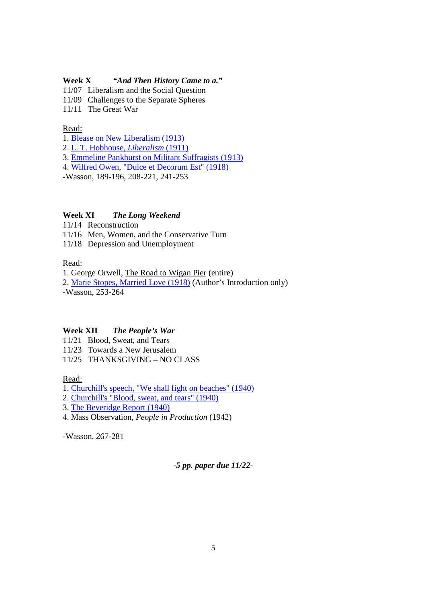## **Week X** *"And Then History Came to a."*

11/07 Liberalism and the Social Question

11/09 Challenges to the Separate Spheres

11/11 The Great War

## Read:

1. Blease on New Liberalism (1913)

2. L. T. Hobhouse, *Liberalism* (1911)

3. Emmeline Pankhurst on Militant Suffragists (1913)

4. Wilfred Owen, "Dulce et Decorum Est" (1918)

-Wasson, 189-196, 208-221, 241-253

## **Week XI** *The Long Weekend*

11/14 Reconstruction

11/16 Men, Women, and the Conservative Turn

11/18 Depression and Unemployment

Read:

1. George Orwell, The Road to Wigan Pier (entire)

2. Marie Stopes, Married Love (1918) (Author's Introduction only) -Wasson, 253-264

# **Week XII** *The People's War*

11/21 Blood, Sweat, and Tears

11/23 Towards a New Jerusalem

11/25 THANKSGIVING – NO CLASS

Read:

1. Churchill's speech, "We shall fight on beaches" (1940)

2. Churchill's "Blood, sweat, and tears" (1940)

3. The Beveridge Report (1940)

4. Mass Observation, *People in Production* (1942)

-Wasson, 267-281

*-5 pp. paper due 11/22-*